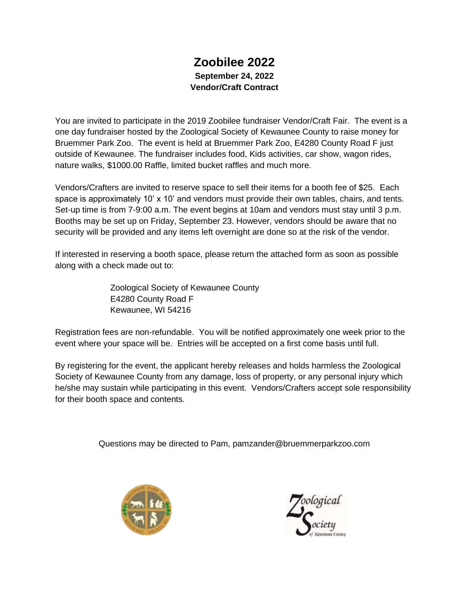## **Zoobilee 2022 September 24, 2022 Vendor/Craft Contract**

You are invited to participate in the 2019 Zoobilee fundraiser Vendor/Craft Fair. The event is a one day fundraiser hosted by the Zoological Society of Kewaunee County to raise money for Bruemmer Park Zoo. The event is held at Bruemmer Park Zoo, E4280 County Road F just outside of Kewaunee. The fundraiser includes food, Kids activities, car show, wagon rides, nature walks, \$1000.00 Raffle, limited bucket raffles and much more.

Vendors/Crafters are invited to reserve space to sell their items for a booth fee of \$25. Each space is approximately 10' x 10' and vendors must provide their own tables, chairs, and tents. Set-up time is from 7-9:00 a.m. The event begins at 10am and vendors must stay until 3 p.m. Booths may be set up on Friday, September 23. However, vendors should be aware that no security will be provided and any items left overnight are done so at the risk of the vendor.

If interested in reserving a booth space, please return the attached form as soon as possible along with a check made out to:

> Zoological Society of Kewaunee County E4280 County Road F Kewaunee, WI 54216

Registration fees are non-refundable. You will be notified approximately one week prior to the event where your space will be. Entries will be accepted on a first come basis until full.

By registering for the event, the applicant hereby releases and holds harmless the Zoological Society of Kewaunee County from any damage, loss of property, or any personal injury which he/she may sustain while participating in this event. Vendors/Crafters accept sole responsibility for their booth space and contents.

Questions may be directed to Pam, pamzander@bruemmerparkzoo.com